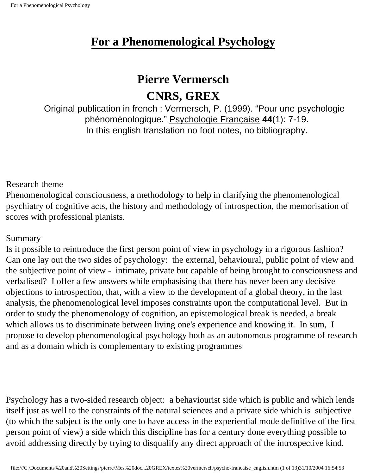## **Pierre Vermersch**

## **CNRS, GREX**

Original publication in french : Vermersch, P. (1999). "Pour une psychologie phénoménologique." Psychologie Française **44**(1): 7-19. In this english translation no foot notes, no bibliography.

Research theme

Phenomenological consciousness, a methodology to help in clarifying the phenomenological psychiatry of cognitive acts, the history and methodology of introspection, the memorisation of scores with professional pianists.

Summary

Is it possible to reintroduce the first person point of view in psychology in a rigorous fashion? Can one lay out the two sides of psychology: the external, behavioural, public point of view and the subjective point of view - intimate, private but capable of being brought to consciousness and verbalised? I offer a few answers while emphasising that there has never been any decisive objections to introspection, that, with a view to the development of a global theory, in the last analysis, the phenomenological level imposes constraints upon the computational level. But in order to study the phenomenology of cognition, an epistemological break is needed, a break which allows us to discriminate between living one's experience and knowing it. In sum, I propose to develop phenomenological psychology both as an autonomous programme of research and as a domain which is complementary to existing programmes

Psychology has a two-sided research object: a behaviourist side which is public and which lends itself just as well to the constraints of the natural sciences and a private side which is subjective (to which the subject is the only one to have access in the experiential mode definitive of the first person point of view) a side which this discipline has for a century done everything possible to avoid addressing directly by trying to disqualify any direct approach of the introspective kind.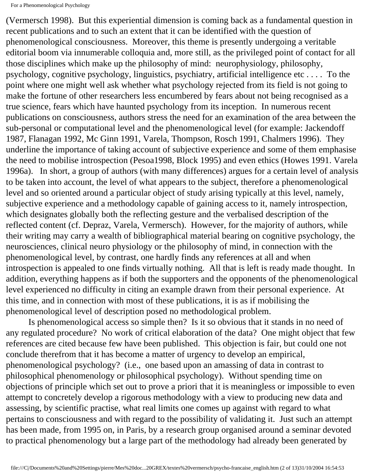(Vermersch 1998). But this experiential dimension is coming back as a fundamental question in recent publications and to such an extent that it can be identified with the question of phenomenological consciousness. Moreover, this theme is presently undergoing a veritable editorial boom via innumerable colloquia and, more still, as the privileged point of contact for all those disciplines which make up the philosophy of mind: neurophysiology, philosophy, psychology, cognitive psychology, linguistics, psychiatry, artificial intelligence etc . . . . To the point where one might well ask whether what psychology rejected from its field is not going to make the fortune of other researchers less encumbered by fears about not being recognised as a true science, fears which have haunted psychology from its inception. In numerous recent publications on consciousness, authors stress the need for an examination of the area between the sub-personal or computational level and the phenomenological level (for example: Jackendoff 1987, Flanagan 1992, Mc Ginn 1991, Varela, Thompson, Rosch 1991, Chalmers 1996). They underline the importance of taking account of subjective experience and some of them emphasise the need to mobilise introspection (Pesoa1998, Block 1995) and even ethics (Howes 1991. Varela 1996a). In short, a group of authors (with many differences) argues for a certain level of analysis to be taken into account, the level of what appears to the subject, therefore a phenomenological level and so oriented around a particular object of study arising typically at this level, namely, subjective experience and a methodology capable of gaining access to it, namely introspection, which designates globally both the reflecting gesture and the verbalised description of the reflected content (cf. Depraz, Varela, Vermersch). However, for the majority of authors, while their writing may carry a wealth of bibliographical material bearing on cognitive psychology, the neurosciences, clinical neuro physiology or the philosophy of mind, in connection with the phenomenological level, by contrast, one hardly finds any references at all and when introspection is appealed to one finds virtually nothing. All that is left is ready made thought. In addition, everything happens as if both the supporters and the opponents of the phenomenological level experienced no difficulty in citing an example drawn from their personal experience. At this time, and in connection with most of these publications, it is as if mobilising the phenomenological level of description posed no methodological problem.

 Is phenomenological access so simple then? Is it so obvious that it stands in no need of any regulated procedure? No work of critical elaboration of the data? One might object that few references are cited because few have been published. This objection is fair, but could one not conclude therefrom that it has become a matter of urgency to develop an empirical, phenomenological psychology? (i.e., one based upon an amassing of data in contrast to philosophical phenomenology or philosophical psychology). Without spending time on objections of principle which set out to prove a priori that it is meaningless or impossible to even attempt to concretely develop a rigorous methodology with a view to producing new data and assessing, by scientific practise, what real limits one comes up against with regard to what pertains to consciousness and with regard to the possibility of validating it. Just such an attempt has been made, from 1995 on, in Paris, by a research group organised around a seminar devoted to practical phenomenology but a large part of the methodology had already been generated by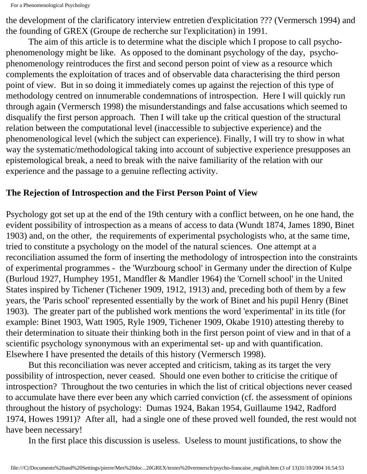the development of the clarificatory interview entretien d'explicitation ??? (Vermersch 1994) and the founding of GREX (Groupe de recherche sur l'explicitation) in 1991.

 The aim of this article is to determine what the disciple which I propose to call psychophenomenology might be like. As opposed to the dominant psychology of the day, psychophenomenology reintroduces the first and second person point of view as a resource which complements the exploitation of traces and of observable data characterising the third person point of view. But in so doing it immediately comes up against the rejection of this type of methodology centred on innumerable condemnations of introspection. Here I will quickly run through again (Vermersch 1998) the misunderstandings and false accusations which seemed to disqualify the first person approach. Then I will take up the critical question of the structural relation between the computational level (inaccessible to subjective experience) and the phenomenological level (which the subject can experience). Finally, I will try to show in what way the systematic/methodological taking into account of subjective experience presupposes an epistemological break, a need to break with the naive familiarity of the relation with our experience and the passage to a genuine reflecting activity.

#### **The Rejection of Introspection and the First Person Point of View**

Psychology got set up at the end of the 19th century with a conflict between, on he one hand, the evident possibility of introspection as a means of access to data (Wundt 1874, James 1890, Binet 1903) and, on the other, the requirements of experimental psychologists who, at the same time, tried to constitute a psychology on the model of the natural sciences. One attempt at a reconciliation assumed the form of inserting the methodology of introspection into the constraints of experimental programmes - the 'Wurzbourg school' in Germany under the direction of Kulpe (Burloud 1927, Humphey 1951, Mandfler & Mandler 1964) the 'Cornell school' in the United States inspired by Tichener (Tichener 1909, 1912, 1913) and, preceding both of them by a few years, the 'Paris school' represented essentially by the work of Binet and his pupil Henry (Binet 1903). The greater part of the published work mentions the word 'experimental' in its title (for example: Binet 1903, Watt 1905, Ryle 1909, Tichener 1909, Okabe 1910) attesting thereby to their determination to situate their thinking both in the first person point of view and in that of a scientific psychology synonymous with an experimental set- up and with quantification. Elsewhere I have presented the details of this history (Vermersch 1998).

 But this reconciliation was never accepted and criticism, taking as its target the very possibility of introspection, never ceased. Should one even bother to criticise the critique of introspection? Throughout the two centuries in which the list of critical objections never ceased to accumulate have there ever been any which carried conviction (cf. the assessment of opinions throughout the history of psychology: Dumas 1924, Bakan 1954, Guillaume 1942, Radford 1974, Howes 1991)? After all, had a single one of these proved well founded, the rest would not have been necessary!

In the first place this discussion is useless. Useless to mount justifications, to show the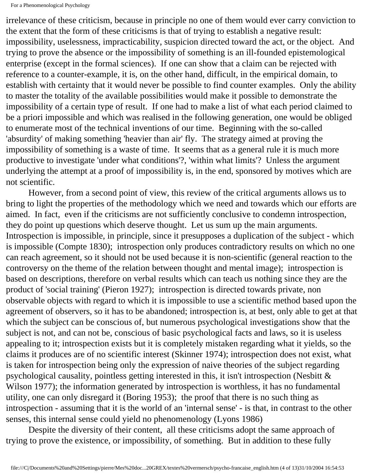irrelevance of these criticism, because in principle no one of them would ever carry conviction to the extent that the form of these criticisms is that of trying to establish a negative result: impossibility, uselessness, impracticability, suspicion directed toward the act, or the object. And trying to prove the absence or the impossibility of something is an ill-founded epistemological enterprise (except in the formal sciences). If one can show that a claim can be rejected with reference to a counter-example, it is, on the other hand, difficult, in the empirical domain, to establish with certainty that it would never be possible to find counter examples. Only the ability to master the totality of the available possibilities would make it possible to demonstrate the impossibility of a certain type of result. If one had to make a list of what each period claimed to be a priori impossible and which was realised in the following generation, one would be obliged to enumerate most of the technical inventions of our time. Beginning with the so-called 'absurdity' of making something 'heavier than air' fly. The strategy aimed at proving the impossibility of something is a waste of time. It seems that as a general rule it is much more productive to investigate 'under what conditions'?, 'within what limits'? Unless the argument underlying the attempt at a proof of impossibility is, in the end, sponsored by motives which are not scientific.

 However, from a second point of view, this review of the critical arguments allows us to bring to light the properties of the methodology which we need and towards which our efforts are aimed. In fact, even if the criticisms are not sufficiently conclusive to condemn introspection, they do point up questions which deserve thought. Let us sum up the main arguments. Introspection is impossible, in principle, since it presupposes a duplication of the subject - which is impossible (Compte 1830); introspection only produces contradictory results on which no one can reach agreement, so it should not be used because it is non-scientific (general reaction to the controversy on the theme of the relation between thought and mental image); introspection is based on descriptions, therefore on verbal results which can teach us nothing since they are the product of 'social training' (Pieron 1927); introspection is directed towards private, non observable objects with regard to which it is impossible to use a scientific method based upon the agreement of observers, so it has to be abandoned; introspection is, at best, only able to get at that which the subject can be conscious of, but numerous psychological investigations show that the subject is not, and can not be, conscious of basic psychological facts and laws, so it is useless appealing to it; introspection exists but it is completely mistaken regarding what it yields, so the claims it produces are of no scientific interest (Skinner 1974); introspection does not exist, what is taken for introspection being only the expression of naive theories of the subject regarding psychological causality, pointless getting interested in this, it isn't introspection (Nesbitt & Wilson 1977); the information generated by introspection is worthless, it has no fundamental utility, one can only disregard it (Boring 1953); the proof that there is no such thing as introspection - assuming that it is the world of an 'internal sense' - is that, in contrast to the other senses, this internal sense could yield no phenomenology (Lyons 1986)

 Despite the diversity of their content, all these criticisms adopt the same approach of trying to prove the existence, or impossibility, of something. But in addition to these fully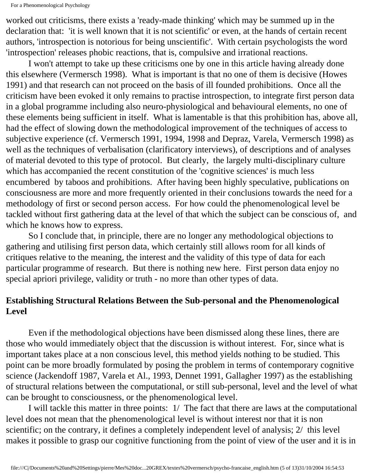worked out criticisms, there exists a 'ready-made thinking' which may be summed up in the declaration that: 'it is well known that it is not scientific' or even, at the hands of certain recent authors, 'introspection is notorious for being unscientific'. With certain psychologists the word 'introspection' releases phobic reactions, that is, compulsive and irrational reactions.

 I won't attempt to take up these criticisms one by one in this article having already done this elsewhere (Vermersch 1998). What is important is that no one of them is decisive (Howes 1991) and that research can not proceed on the basis of ill founded prohibitions. Once all the criticism have been evoked it only remains to practise introspection, to integrate first person data in a global programme including also neuro-physiological and behavioural elements, no one of these elements being sufficient in itself. What is lamentable is that this prohibition has, above all, had the effect of slowing down the methodological improvement of the techniques of access to subjective experience (cf. Vermersch 1991, 1994, 1998 and Depraz, Varela, Vermersch 1998) as well as the techniques of verbalisation (clarificatory interviews), of descriptions and of analyses of material devoted to this type of protocol. But clearly, the largely multi-disciplinary culture which has accompanied the recent constitution of the 'cognitive sciences' is much less encumbered by taboos and prohibitions. After having been highly speculative, publications on consciousness are more and more frequently oriented in their conclusions towards the need for a methodology of first or second person access. For how could the phenomenological level be tackled without first gathering data at the level of that which the subject can be conscious of, and which he knows how to express.

 So I conclude that, in principle, there are no longer any methodological objections to gathering and utilising first person data, which certainly still allows room for all kinds of critiques relative to the meaning, the interest and the validity of this type of data for each particular programme of research. But there is nothing new here. First person data enjoy no special apriori privilege, validity or truth - no more than other types of data.

## **Establishing Structural Relations Between the Sub-personal and the Phenomenological Level**

 Even if the methodological objections have been dismissed along these lines, there are those who would immediately object that the discussion is without interest. For, since what is important takes place at a non conscious level, this method yields nothing to be studied. This point can be more broadly formulated by posing the problem in terms of contemporary cognitive science (Jackendoff 1987, Varela et Al., 1993, Dennet 1991, Gallagher 1997) as the establishing of structural relations between the computational, or still sub-personal, level and the level of what can be brought to consciousness, or the phenomenological level.

 I will tackle this matter in three points: 1/ The fact that there are laws at the computational level does not mean that the phenomenological level is without interest nor that it is non scientific; on the contrary, it defines a completely independent level of analysis;  $2/$  this level makes it possible to grasp our cognitive functioning from the point of view of the user and it is in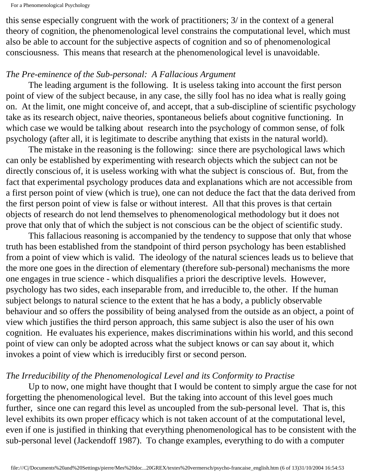```
For a Phenomenological Psychology
```
this sense especially congruent with the work of practitioners; 3/ in the context of a general theory of cognition, the phenomenological level constrains the computational level, which must also be able to account for the subjective aspects of cognition and so of phenomenological consciousness. This means that research at the phenomenological level is unavoidable.

#### *The Pre-eminence of the Sub-personal: A Fallacious Argument*

 The leading argument is the following. It is useless taking into account the first person point of view of the subject because, in any case, the silly fool has no idea what is really going on. At the limit, one might conceive of, and accept, that a sub-discipline of scientific psychology take as its research object, naive theories, spontaneous beliefs about cognitive functioning. In which case we would be talking about research into the psychology of common sense, of folk psychology (after all, it is legitimate to describe anything that exists in the natural world).

 The mistake in the reasoning is the following: since there are psychological laws which can only be established by experimenting with research objects which the subject can not be directly conscious of, it is useless working with what the subject is conscious of. But, from the fact that experimental psychology produces data and explanations which are not accessible from a first person point of view (which is true), one can not deduce the fact that the data derived from the first person point of view is false or without interest. All that this proves is that certain objects of research do not lend themselves to phenomenological methodology but it does not prove that only that of which the subject is not conscious can be the object of scientific study.

 This fallacious reasoning is accompanied by the tendency to suppose that only that whose truth has been established from the standpoint of third person psychology has been established from a point of view which is valid. The ideology of the natural sciences leads us to believe that the more one goes in the direction of elementary (therefore sub-personal) mechanisms the more one engages in true science - which disqualifies a priori the descriptive levels. However, psychology has two sides, each inseparable from, and irreducible to, the other. If the human subject belongs to natural science to the extent that he has a body, a publicly observable behaviour and so offers the possibility of being analysed from the outside as an object, a point of view which justifies the third person approach, this same subject is also the user of his own cognition. He evaluates his experience, makes discriminations within his world, and this second point of view can only be adopted across what the subject knows or can say about it, which invokes a point of view which is irreducibly first or second person.

## *The Irreducibility of the Phenomenological Level and its Conformity to Practise*

 Up to now, one might have thought that I would be content to simply argue the case for not forgetting the phenomenological level. But the taking into account of this level goes much further, since one can regard this level as uncoupled from the sub-personal level. That is, this level exhibits its own proper efficacy which is not taken account of at the computational level, even if one is justified in thinking that everything phenomenological has to be consistent with the sub-personal level (Jackendoff 1987). To change examples, everything to do with a computer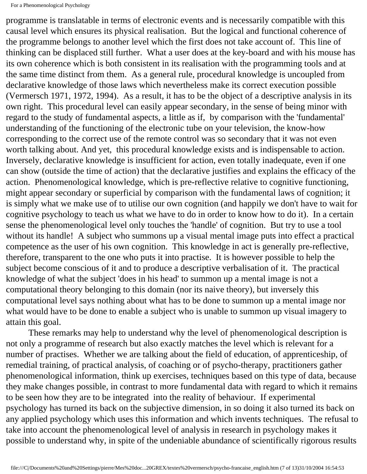programme is translatable in terms of electronic events and is necessarily compatible with this causal level which ensures its physical realisation. But the logical and functional coherence of the programme belongs to another level which the first does not take account of. This line of thinking can be displaced still further. What a user does at the key-board and with his mouse has its own coherence which is both consistent in its realisation with the programming tools and at the same time distinct from them. As a general rule, procedural knowledge is uncoupled from declarative knowledge of those laws which nevertheless make its correct execution possible (Vermersch 1971, 1972, 1994). As a result, it has to be the object of a descriptive analysis in its own right. This procedural level can easily appear secondary, in the sense of being minor with regard to the study of fundamental aspects, a little as if, by comparison with the 'fundamental' understanding of the functioning of the electronic tube on your television, the know-how corresponding to the correct use of the remote control was so secondary that it was not even worth talking about. And yet, this procedural knowledge exists and is indispensable to action. Inversely, declarative knowledge is insufficient for action, even totally inadequate, even if one can show (outside the time of action) that the declarative justifies and explains the efficacy of the action. Phenomenological knowledge, which is pre-reflective relative to cognitive functioning, might appear secondary or superficial by comparison with the fundamental laws of cognition; it is simply what we make use of to utilise our own cognition (and happily we don't have to wait for cognitive psychology to teach us what we have to do in order to know how to do it). In a certain sense the phenomenological level only touches the 'handle' of cognition. But try to use a tool without its handle! A subject who summons up a visual mental image puts into effect a practical competence as the user of his own cognition. This knowledge in act is generally pre-reflective, therefore, transparent to the one who puts it into practise. It is however possible to help the subject become conscious of it and to produce a descriptive verbalisation of it. The practical knowledge of what the subject 'does in his head' to summon up a mental image is not a computational theory belonging to this domain (nor its naive theory), but inversely this computational level says nothing about what has to be done to summon up a mental image nor what would have to be done to enable a subject who is unable to summon up visual imagery to attain this goal.

 These remarks may help to understand why the level of phenomenological description is not only a programme of research but also exactly matches the level which is relevant for a number of practises. Whether we are talking about the field of education, of apprenticeship, of remedial training, of practical analysis, of coaching or of psycho-therapy, practitioners gather phenomenological information, think up exercises, techniques based on this type of data, because they make changes possible, in contrast to more fundamental data with regard to which it remains to be seen how they are to be integrated into the reality of behaviour. If experimental psychology has turned its back on the subjective dimension, in so doing it also turned its back on any applied psychology which uses this information and which invents techniques. The refusal to take into account the phenomenological level of analysis in research in psychology makes it possible to understand why, in spite of the undeniable abundance of scientifically rigorous results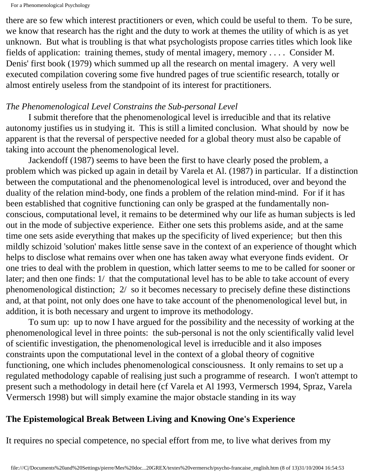there are so few which interest practitioners or even, which could be useful to them. To be sure, we know that research has the right and the duty to work at themes the utility of which is as yet unknown. But what is troubling is that what psychologists propose carries titles which look like fields of application: training themes, study of mental imagery, memory . . . . Consider M. Denis' first book (1979) which summed up all the research on mental imagery. A very well executed compilation covering some five hundred pages of true scientific research, totally or almost entirely useless from the standpoint of its interest for practitioners.

#### *The Phenomenological Level Constrains the Sub-personal Level*

 I submit therefore that the phenomenological level is irreducible and that its relative autonomy justifies us in studying it. This is still a limited conclusion. What should by now be apparent is that the reversal of perspective needed for a global theory must also be capable of taking into account the phenomenological level.

 Jackendoff (1987) seems to have been the first to have clearly posed the problem, a problem which was picked up again in detail by Varela et Al. (1987) in particular. If a distinction between the computational and the phenomenological level is introduced, over and beyond the duality of the relation mind-body, one finds a problem of the relation mind-mind. For if it has been established that cognitive functioning can only be grasped at the fundamentally nonconscious, computational level, it remains to be determined why our life as human subjects is led out in the mode of subjective experience. Either one sets this problems aside, and at the same time one sets aside everything that makes up the specificity of lived experience; but then this mildly schizoid 'solution' makes little sense save in the context of an experience of thought which helps to disclose what remains over when one has taken away what everyone finds evident. Or one tries to deal with the problem in question, which latter seems to me to be called for sooner or later; and then one finds: 1/ that the computational level has to be able to take account of every phenomenological distinction; 2/ so it becomes necessary to precisely define these distinctions and, at that point, not only does one have to take account of the phenomenological level but, in addition, it is both necessary and urgent to improve its methodology.

 To sum up: up to now I have argued for the possibility and the necessity of working at the phenomenological level in three points: the sub-personal is not the only scientifically valid level of scientific investigation, the phenomenological level is irreducible and it also imposes constraints upon the computational level in the context of a global theory of cognitive functioning, one which includes phenomenological consciousness. It only remains to set up a regulated methodology capable of realising just such a programme of research. I won't attempt to present such a methodology in detail here (cf Varela et Al 1993, Vermersch 1994, Spraz, Varela Vermersch 1998) but will simply examine the major obstacle standing in its way

#### **The Epistemological Break Between Living and Knowing One's Experience**

It requires no special competence, no special effort from me, to live what derives from my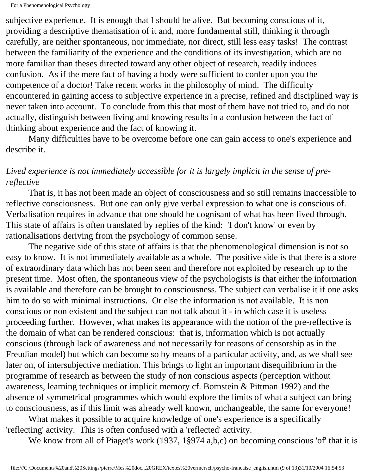subjective experience. It is enough that I should be alive. But becoming conscious of it, providing a descriptive thematisation of it and, more fundamental still, thinking it through carefully, are neither spontaneous, nor immediate, nor direct, still less easy tasks! The contrast between the familiarity of the experience and the conditions of its investigation, which are no more familiar than theses directed toward any other object of research, readily induces confusion. As if the mere fact of having a body were sufficient to confer upon you the competence of a doctor! Take recent works in the philosophy of mind. The difficulty encountered in gaining access to subjective experience in a precise, refined and disciplined way is never taken into account. To conclude from this that most of them have not tried to, and do not actually, distinguish between living and knowing results in a confusion between the fact of thinking about experience and the fact of knowing it.

 Many difficulties have to be overcome before one can gain access to one's experience and describe it.

### *Lived experience is not immediately accessible for it is largely implicit in the sense of prereflective*

 That is, it has not been made an object of consciousness and so still remains inaccessible to reflective consciousness. But one can only give verbal expression to what one is conscious of. Verbalisation requires in advance that one should be cognisant of what has been lived through. This state of affairs is often translated by replies of the kind: 'I don't know' or even by rationalisations deriving from the psychology of common sense.

 The negative side of this state of affairs is that the phenomenological dimension is not so easy to know. It is not immediately available as a whole. The positive side is that there is a store of extraordinary data which has not been seen and therefore not exploited by research up to the present time. Most often, the spontaneous view of the psychologists is that either the information is available and therefore can be brought to consciousness. The subject can verbalise it if one asks him to do so with minimal instructions. Or else the information is not available. It is non conscious or non existent and the subject can not talk about it - in which case it is useless proceeding further. However, what makes its appearance with the notion of the pre-reflective is the domain of what can be rendered conscious: that is, information which is not actually conscious (through lack of awareness and not necessarily for reasons of censorship as in the Freudian model) but which can become so by means of a particular activity, and, as we shall see later on, of intersubjective mediation. This brings to light an important disequilibrium in the programme of research as between the study of non conscious aspects (perception without awareness, learning techniques or implicit memory cf. Bornstein & Pittman 1992) and the absence of symmetrical programmes which would explore the limits of what a subject can bring to consciousness, as if this limit was already well known, unchangeable, the same for everyone!

 What makes it possible to acquire knowledge of one's experience is a specifically 'reflecting' activity. This is often confused with a 'reflected' activity.

We know from all of Piaget's work (1937, 1§974 a,b,c) on becoming conscious 'of' that it is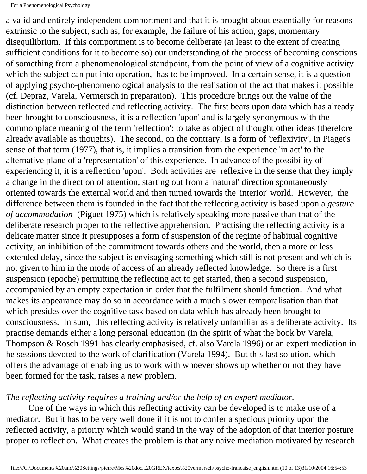a valid and entirely independent comportment and that it is brought about essentially for reasons extrinsic to the subject, such as, for example, the failure of his action, gaps, momentary disequilibrium. If this comportment is to become deliberate (at least to the extent of creating sufficient conditions for it to become so) our understanding of the process of becoming conscious of something from a phenomenological standpoint, from the point of view of a cognitive activity which the subject can put into operation, has to be improved. In a certain sense, it is a question of applying psycho-phenomenological analysis to the realisation of the act that makes it possible (cf. Depraz, Varela, Vermersch in preparation). This procedure brings out the value of the distinction between reflected and reflecting activity. The first bears upon data which has already been brought to consciousness, it is a reflection 'upon' and is largely synonymous with the commonplace meaning of the term 'reflection': to take as object of thought other ideas (therefore already available as thoughts). The second, on the contrary, is a form of 'reflexivity', in Piaget's sense of that term (1977), that is, it implies a transition from the experience 'in act' to the alternative plane of a 'representation' of this experience. In advance of the possibility of experiencing it, it is a reflection 'upon'. Both activities are reflexive in the sense that they imply a change in the direction of attention, starting out from a 'natural' direction spontaneously oriented towards the external world and then turned towards the 'interior' world. However, the difference between them is founded in the fact that the reflecting activity is based upon a *gesture of accommodation* (Piguet 1975) which is relatively speaking more passive than that of the deliberate research proper to the reflective apprehension. Practising the reflecting activity is a delicate matter since it presupposes a form of suspension of the regime of habitual cognitive activity, an inhibition of the commitment towards others and the world, then a more or less extended delay, since the subject is envisaging something which still is not present and which is not given to him in the mode of access of an already reflected knowledge. So there is a first suspension (epoche) permitting the reflecting act to get started, then a second suspension, accompanied by an empty expectation in order that the fulfilment should function. And what makes its appearance may do so in accordance with a much slower temporalisation than that which presides over the cognitive task based on data which has already been brought to consciousness. In sum, this reflecting activity is relatively unfamiliar as a deliberate activity. Its practise demands either a long personal education (in the spirit of what the book by Varela, Thompson & Rosch 1991 has clearly emphasised, cf. also Varela 1996) or an expert mediation in he sessions devoted to the work of clarification (Varela 1994). But this last solution, which offers the advantage of enabling us to work with whoever shows up whether or not they have been formed for the task, raises a new problem.

#### *The reflecting activity requires a training and/or the help of an expert mediator.*

 One of the ways in which this reflecting activity can be developed is to make use of a mediator. But it has to be very well done if it is not to confer a specious priority upon the reflected activity, a priority which would stand in the way of the adoption of that interior posture proper to reflection. What creates the problem is that any naive mediation motivated by research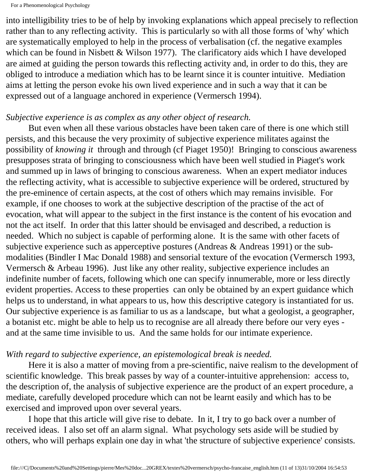into intelligibility tries to be of help by invoking explanations which appeal precisely to reflection rather than to any reflecting activity. This is particularly so with all those forms of 'why' which are systematically employed to help in the process of verbalisation (cf. the negative examples which can be found in Nisbett & Wilson 1977). The clarificatory aids which I have developed are aimed at guiding the person towards this reflecting activity and, in order to do this, they are obliged to introduce a mediation which has to be learnt since it is counter intuitive. Mediation aims at letting the person evoke his own lived experience and in such a way that it can be expressed out of a language anchored in experience (Vermersch 1994).

## *Subjective experience is as complex as any other object of research.*

 But even when all these various obstacles have been taken care of there is one which still persists, and this because the very proximity of subjective experience militates against the possibility of *knowing it* through and through (cf Piaget 1950)! Bringing to conscious awareness presupposes strata of bringing to consciousness which have been well studied in Piaget's work and summed up in laws of bringing to conscious awareness. When an expert mediator induces the reflecting activity, what is accessible to subjective experience will be ordered, structured by the pre-eminence of certain aspects, at the cost of others which may remains invisible. For example, if one chooses to work at the subjective description of the practise of the act of evocation, what will appear to the subject in the first instance is the content of his evocation and not the act itself. In order that this latter should be envisaged and described, a reduction is needed. Which no subject is capable of performing alone. It is the same with other facets of subjective experience such as apperceptive postures (Andreas & Andreas 1991) or the submodalities (Bindler I Mac Donald 1988) and sensorial texture of the evocation (Vermersch 1993, Vermersch & Arbeau 1996). Just like any other reality, subjective experience includes an indefinite number of facets, following which one can specify innumerable, more or less directly evident properties. Access to these properties can only be obtained by an expert guidance which helps us to understand, in what appears to us, how this descriptive category is instantiated for us. Our subjective experience is as familiar to us as a landscape, but what a geologist, a geographer, a botanist etc. might be able to help us to recognise are all already there before our very eyes and at the same time invisible to us. And the same holds for our intimate experience.

#### *With regard to subjective experience, an epistemological break is needed.*

 Here it is also a matter of moving from a pre-scientific, naive realism to the development of scientific knowledge. This break passes by way of a counter-intuitive apprehension: access to, the description of, the analysis of subjective experience are the product of an expert procedure, a mediate, carefully developed procedure which can not be learnt easily and which has to be exercised and improved upon over several years.

 I hope that this article will give rise to debate. In it, I try to go back over a number of received ideas. I also set off an alarm signal. What psychology sets aside will be studied by others, who will perhaps explain one day in what 'the structure of subjective experience' consists.